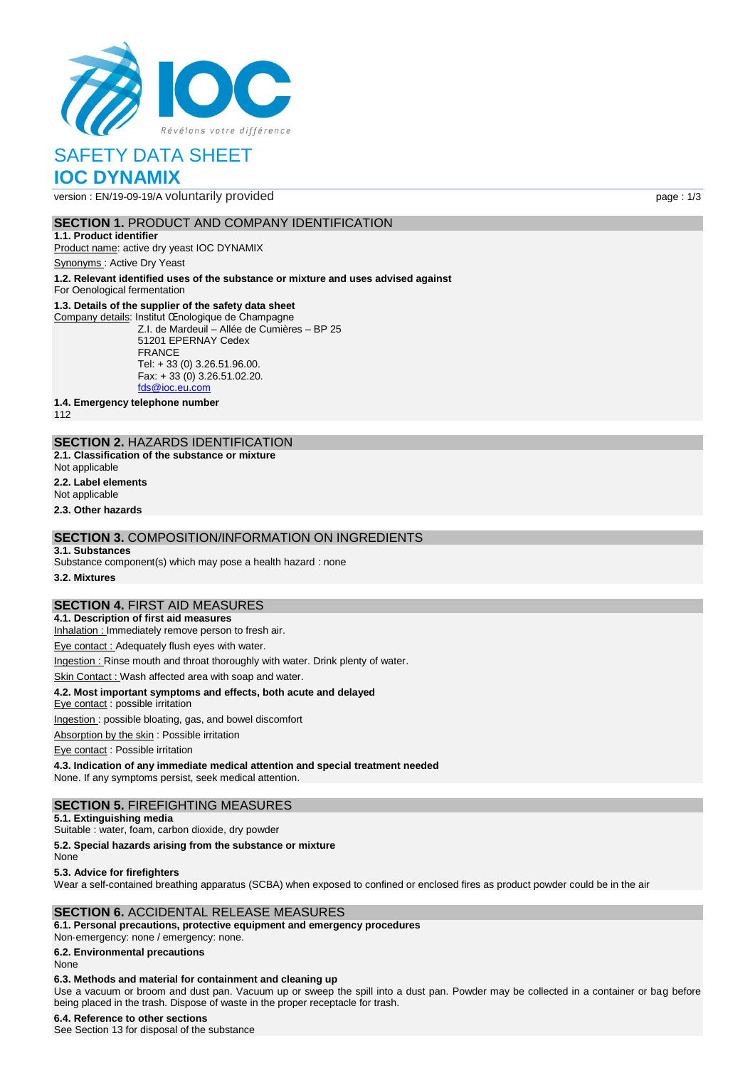

# SAFETY DATA SHEET **IOC DYNAMIX**

version : EN/19-09-19/A voluntarily provided page : 1/3

## **SECTION 1. PRODUCT AND COMPANY IDENTIFICATION**

**1.1. Product identifier** Product name: active dry yeast IOC DYNAMIX

Synonyms : Active Dry Yeast

**1.2. Relevant identified uses of the substance or mixture and uses advised against**

For Oenological fermentation

### **1.3. Details of the supplier of the safety data sheet**

Company details: Institut Œnologique de Champagne Z.I. de Mardeuil – Allée de Cumières – BP 25 51201 EPERNAY Cedex FRANCE Tel: + 33 (0) 3.26.51.96.00. Fax: + 33 (0) 3.26.51.02.20. [fds@ioc.eu.com](mailto:fds@ioc.eu.com)

**1.4. Emergency telephone number**

112

### **SECTION 2.** HAZARDS IDENTIFICATION

**2.1. Classification of the substance or mixture**

Not applicable

**2.2. Label elements**

Not applicable

**2.3. Other hazards**

### **SECTION 3.** COMPOSITION/INFORMATION ON INGREDIENTS

#### **3.1. Substances**

Substance component(s) which may pose a health hazard : none

**3.2. Mixtures**

## **SECTION 4.** FIRST AID MEASURES

**4.1. Description of first aid measures**

Inhalation : Immediately remove person to fresh air.

Eye contact : Adequately flush eyes with water.

Ingestion : Rinse mouth and throat thoroughly with water. Drink plenty of water.

Skin Contact : Wash affected area with soap and water.

### **4.2. Most important symptoms and effects, both acute and delayed**

Eye contact : possible irritation

Ingestion : possible bloating, gas, and bowel discomfort

Absorption by the skin : Possible irritation

Eye contact : Possible irritation

**4.3. Indication of any immediate medical attention and special treatment needed** None. If any symptoms persist, seek medical attention.

### **SECTION 5.** FIREFIGHTING MEASURES

**5.1. Extinguishing media**

Suitable : water, foam, carbon dioxide, dry powder

**5.2. Special hazards arising from the substance or mixture**

None

#### **5.3. Advice for firefighters**

Wear a self-contained breathing apparatus (SCBA) when exposed to confined or enclosed fires as product powder could be in the air

### **SECTION 6.** ACCIDENTAL RELEASE MEASURES

**6.1. Personal precautions, protective equipment and emergency procedures**

Non‐emergency: none / emergency: none.

### **6.2. Environmental precautions**

None

### **6.3. Methods and material for containment and cleaning up**

Use a vacuum or broom and dust pan. Vacuum up or sweep the spill into a dust pan. Powder may be collected in a container or bag before being placed in the trash. Dispose of waste in the proper receptacle for trash.

### **6.4. Reference to other sections**

See Section 13 for disposal of the substance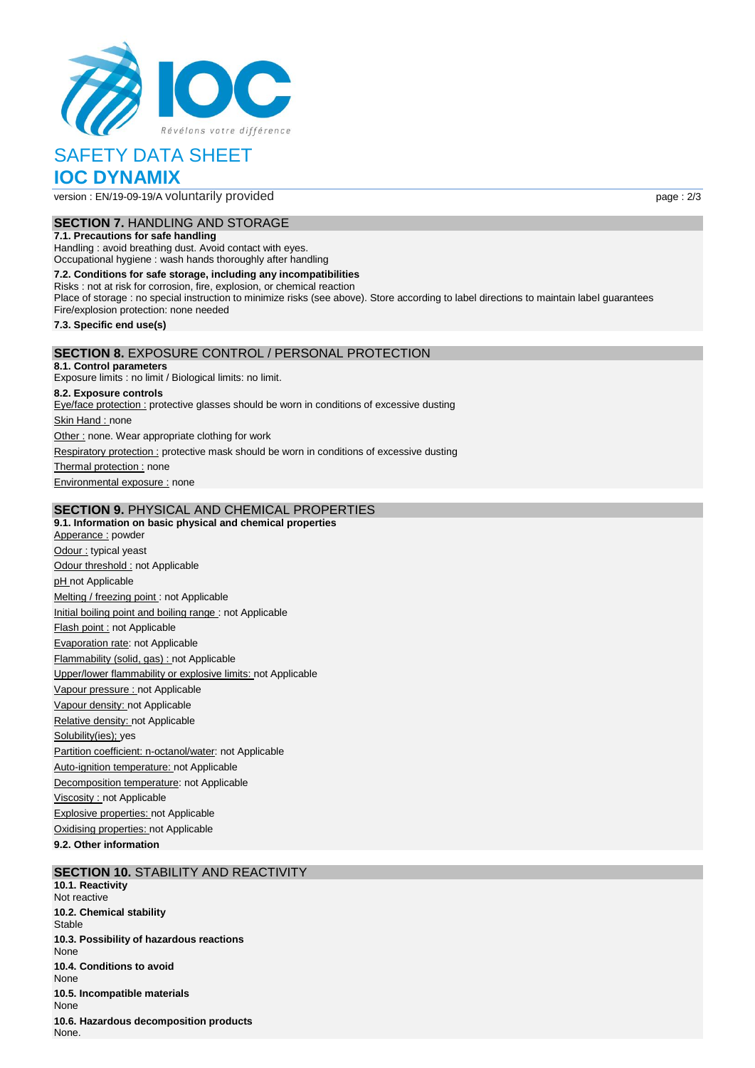

# SAFETY DATA SHEET **IOC DYNAMIX**

version : EN/19-09-19/A voluntarily provided page : 2/3

## **SECTION 7.** HANDLING AND STORAGE

**7.1. Precautions for safe handling**

Handling : avoid breathing dust. Avoid contact with eyes. Occupational hygiene : wash hands thoroughly after handling

**7.2. Conditions for safe storage, including any incompatibilities** Risks : not at risk for corrosion, fire, explosion, or chemical reaction Place of storage : no special instruction to minimize risks (see above). Store according to label directions to maintain label guarantees Fire/explosion protection: none needed **7.3. Specific end use(s) SECTION 8.** EXPOSURE CONTROL / PERSONAL PROTECTION **8.1. Control parameters** Exposure limits : no limit / Biological limits: no limit. **8.2. Exposure controls** Eye/face protection : protective glasses should be worn in conditions of excessive dusting

Skin Hand : none

Other : none. Wear appropriate clothing for work

Respiratory protection : protective mask should be worn in conditions of excessive dusting

Thermal protection : none

Environmental exposure : none

### **SECTION 9.** PHYSICAL AND CHEMICAL PROPERTIES

**9.1. Information on basic physical and chemical properties** Apperance : powder Odour : typical yeast Odour threshold : not Applicable pH not Applicable Melting / freezing point : not Applicable Initial boiling point and boiling range : not Applicable Flash point : not Applicable Evaporation rate: not Applicable Flammability (solid, gas) : not Applicable Upper/lower flammability or explosive limits: not Applicable Vapour pressure : not Applicable Vapour density: not Applicable Relative density: not Applicable Solubility(ies); yes Partition coefficient: n-octanol/water: not Applicable Auto-ignition temperature: not Applicable Decomposition temperature: not Applicable Viscosity : not Applicable Explosive properties: not Applicable Oxidising properties: not Applicable

**9.2. Other information**

## **SECTION 10.** STABILITY AND REACTIVITY

**10.1. Reactivity** Not reactive **10.2. Chemical stability Stable 10.3. Possibility of hazardous reactions** None **10.4. Conditions to avoid** None **10.5. Incompatible materials** None **10.6. Hazardous decomposition products** None.